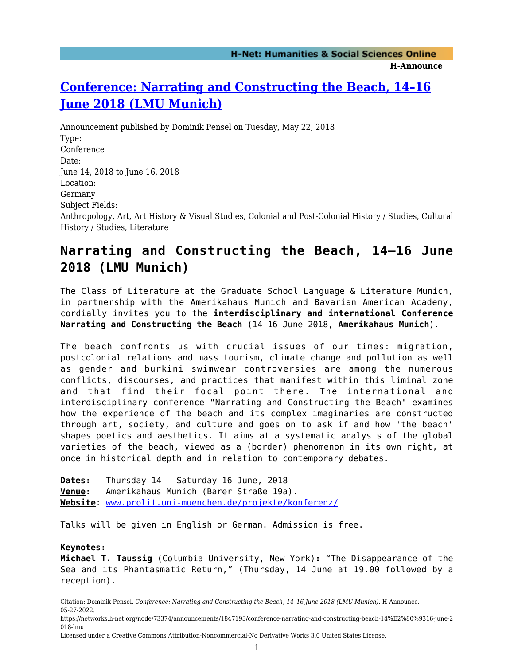# **[Conference: Narrating and Constructing the Beach, 14–16](https://networks.h-net.org/node/73374/announcements/1847193/conference-narrating-and-constructing-beach-14%E2%80%9316-june-2018-lmu) [June 2018 \(LMU Munich\)](https://networks.h-net.org/node/73374/announcements/1847193/conference-narrating-and-constructing-beach-14%E2%80%9316-june-2018-lmu)**

Announcement published by Dominik Pensel on Tuesday, May 22, 2018 Type: Conference Date: June 14, 2018 to June 16, 2018 Location: Germany Subject Fields: Anthropology, Art, Art History & Visual Studies, Colonial and Post-Colonial History / Studies, Cultural History / Studies, Literature

# **Narrating and Constructing the Beach, 14–16 June 2018 (LMU Munich)**

The Class of Literature at the Graduate School Language & Literature Munich, in partnership with the Amerikahaus Munich and Bavarian American Academy, cordially invites you to the **interdisciplinary and international Conference Narrating and Constructing the Beach** (14-16 June 2018, **Amerikahaus Munich**).

The beach confronts us with crucial issues of our times: migration, postcolonial relations and mass tourism, climate change and pollution as well as gender and burkini swimwear controversies are among the numerous conflicts, discourses, and practices that manifest within this liminal zone and that find their focal point there. The international and interdisciplinary conference "Narrating and Constructing the Beach" examines how the experience of the beach and its complex imaginaries are constructed through art, society, and culture and goes on to ask if and how 'the beach' shapes poetics and aesthetics. It aims at a systematic analysis of the global varieties of the beach, viewed as a (border) phenomenon in its own right, at once in historical depth and in relation to contemporary debates.

**Dates:** Thursday 14 – Saturday 16 June, 2018 **Venue:** Amerikahaus Munich (Barer Straße 19a). **Website**: [www.prolit.uni-muenchen.de/projekte/konferenz/](http://www.prolit.uni-muenchen.de/projekte/konferenz/)

Talks will be given in English or German. Admission is free.

## **Keynotes:**

**Michael T. Taussig** (Columbia University, New York)**:** "The Disappearance of the Sea and its Phantasmatic Return," (Thursday, 14 June at 19.00 followed by a reception).

Citation: Dominik Pensel. *Conference: Narrating and Constructing the Beach, 14–16 June 2018 (LMU Munich)*. H-Announce. 05-27-2022.

https://networks.h-net.org/node/73374/announcements/1847193/conference-narrating-and-constructing-beach-14%E2%80%9316-june-2 018-lmu

Licensed under a Creative Commons Attribution-Noncommercial-No Derivative Works 3.0 United States License.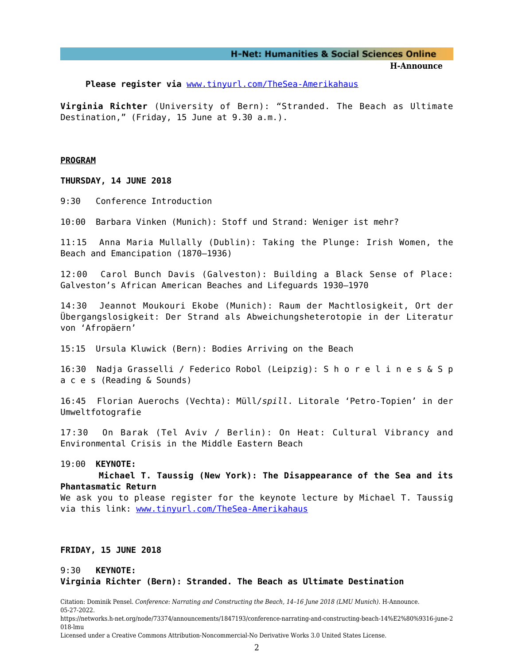#### **H-Net: Humanities & Social Sciences Online**

**H-Announce** 

Please register via [www.tinyurl.com/TheSea-Amerikahaus](http://www.tinyurl.com/TheSea-Amerikahaus)

**Virginia Richter** (University of Bern): "Stranded. The Beach as Ultimate Destination," (Friday, 15 June at 9.30 a.m.).

#### **PROGRAM**

**THURSDAY, 14 JUNE 2018**

9:30 Conference Introduction

10:00 Barbara Vinken (Munich): Stoff und Strand: Weniger ist mehr?

11:15 Anna Maria Mullally (Dublin): Taking the Plunge: Irish Women, the Beach and Emancipation (1870–1936)

12:00 Carol Bunch Davis (Galveston): Building a Black Sense of Place: Galveston's African American Beaches and Lifeguards 1930–1970

14:30 Jeannot Moukouri Ekobe (Munich): Raum der Machtlosigkeit, Ort der Übergangslosigkeit: Der Strand als Abweichungsheterotopie in der Literatur von 'Afropäern'

15:15 Ursula Kluwick (Bern): Bodies Arriving on the Beach

16:30 Nadja Grasselli / Federico Robol (Leipzig): S h o r e l i n e s & S p a c e s (Reading & Sounds)

16:45 Florian Auerochs (Vechta): Müll/*spill*. Litorale 'Petro-Topien' in der Umweltfotografie

17:30 On Barak (Tel Aviv / Berlin): On Heat: Cultural Vibrancy and Environmental Crisis in the Middle Eastern Beach

#### 19:00 **KEYNOTE:**

 **Michael T. Taussig (New York): The Disappearance of the Sea and its Phantasmatic Return**

We ask you to please register for the keynote lecture by Michael T. Taussig via this link: [www.tinyurl.com/TheSea-Amerikahaus](http://www.tinyurl.com/TheSea-Amerikahaus)

#### **FRIDAY, 15 JUNE 2018**

## 9:30 **KEYNOTE: Virginia Richter (Bern): Stranded. The Beach as Ultimate Destination**

Citation: Dominik Pensel. *Conference: Narrating and Constructing the Beach, 14–16 June 2018 (LMU Munich)*. H-Announce. 05-27-2022.

https://networks.h-net.org/node/73374/announcements/1847193/conference-narrating-and-constructing-beach-14%E2%80%9316-june-2 018-lmu

Licensed under a Creative Commons Attribution-Noncommercial-No Derivative Works 3.0 United States License.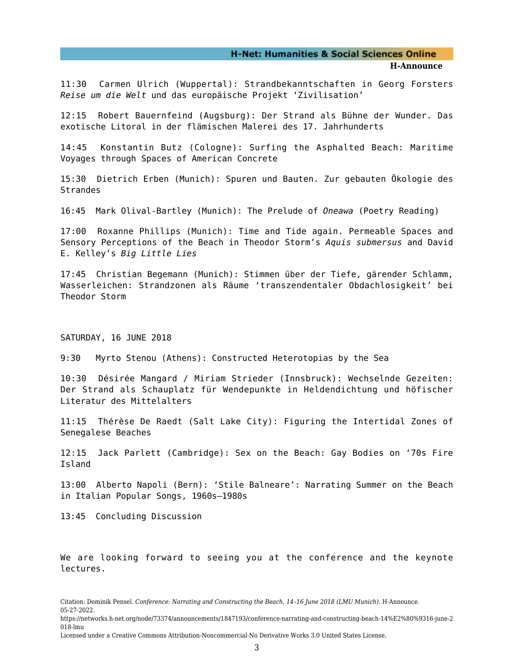### **H-Net: Humanities & Social Sciences Online**

#### **H-Announce**

11:30 Carmen Ulrich (Wuppertal): Strandbekanntschaften in Georg Forsters *Reise um die Welt* und das europäische Projekt 'Zivilisation'

12:15 Robert Bauernfeind (Augsburg): Der Strand als Bühne der Wunder. Das exotische Litoral in der flämischen Malerei des 17. Jahrhunderts

14:45 Konstantin Butz (Cologne): Surfing the Asphalted Beach: Maritime Voyages through Spaces of American Concrete

15:30 Dietrich Erben (Munich): Spuren und Bauten. Zur gebauten Ökologie des **Strandes** 

16:45 Mark Olival-Bartley (Munich): The Prelude of *Oneawa* (Poetry Reading)

17:00 Roxanne Phillips (Munich): Time and Tide again. Permeable Spaces and Sensory Perceptions of the Beach in Theodor Storm's *Aquis submersus* and David E. Kelley's *Big Little Lies*

17:45 Christian Begemann (Munich): Stimmen über der Tiefe, gärender Schlamm, Wasserleichen: Strandzonen als Räume 'transzendentaler Obdachlosigkeit' bei Theodor Storm

### SATURDAY, 16 JUNE 2018

9:30 Myrto Stenou (Athens): Constructed Heterotopias by the Sea

10:30 Désirée Mangard / Miriam Strieder (Innsbruck): Wechselnde Gezeiten: Der Strand als Schauplatz für Wendepunkte in Heldendichtung und höfischer Literatur des Mittelalters

11:15 Thérèse De Raedt (Salt Lake City): Figuring the Intertidal Zones of Senegalese Beaches

12:15 Jack Parlett (Cambridge): Sex on the Beach: Gay Bodies on '70s Fire Island

13:00 Alberto Napoli (Bern): 'Stile Balneare': Narrating Summer on the Beach in Italian Popular Songs, 1960s–1980s

13:45 Concluding Discussion

We are looking forward to seeing you at the conference and the keynote lectures.

Citation: Dominik Pensel. *Conference: Narrating and Constructing the Beach, 14–16 June 2018 (LMU Munich)*. H-Announce. 05-27-2022.

https://networks.h-net.org/node/73374/announcements/1847193/conference-narrating-and-constructing-beach-14%E2%80%9316-june-2 018-lmu

Licensed under a Creative Commons Attribution-Noncommercial-No Derivative Works 3.0 United States License.